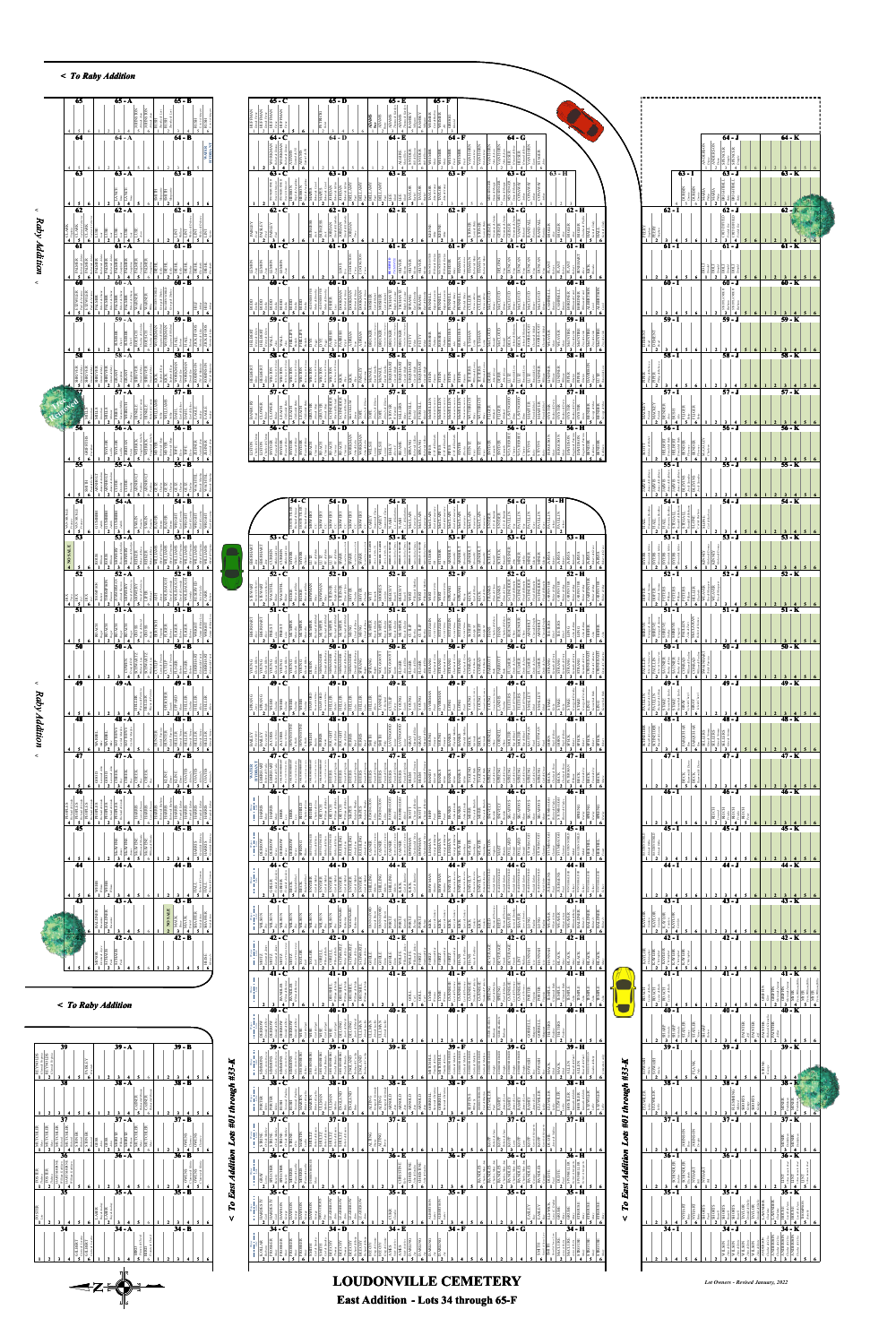







Lot Owners - Revised January, 2022